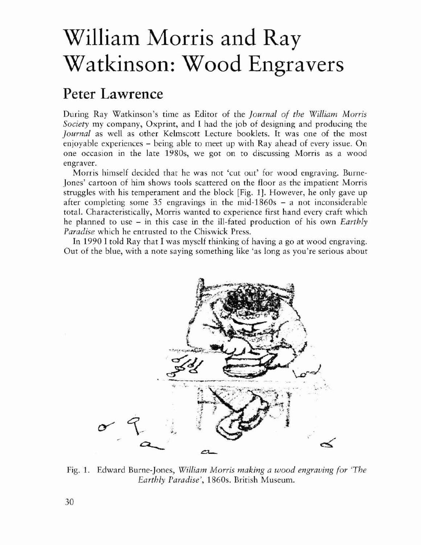## William Morris and Ray Watkinson: Wood Engravers

## Peter Lawrence

During Ray Warkinson's time as Ediror of the *Journal of the William Morris Society* my company, Oxprint, and I had the job of designing and producing the *Journal* as well as other Kelmscott Lecture booklets. It was one of the most enjoyable experiences - being able to meet up with Ray ahead of every issue. On one occasion in the late 1980s, we got on to discussing Morris as a wood engraver.

Morris himself decided that he was not 'cut out' for wood engraving. Burne-Janes' cartoon of him shows tools scattered on the floor as the impatient Morris struggles with his temperament and the block [Fig. 1J. However, he only gave up after completing some 35 engravings in the mid-1860s - a not inconsiderable total. Characteristically, Morris wanted to experience first hand every craft which he planned to use - in this case in the ill-fated production of his own *Earthly Paradise* which he entrusted to the Chiswick Press.

In 1990 I told Ray that I was myself thinking of having a go at wood engraving. Out of the blue, with a note saying something like 'as long as you're serious about



Fig, 1. Edward Burne-Jones, *William Morris making a wood engraving (or 'The Earthly Paradise',* 18605. British Museum.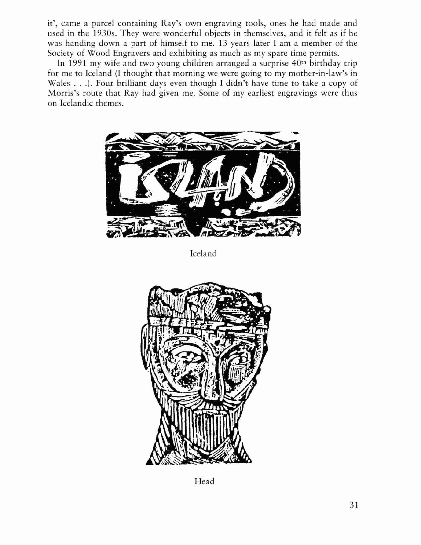it', came a parcel containing Ray's own engraving tools, ones he had made and used in the 1930s. They were wonderful objects in themselves, and it felt as if he was handing down a part of himself to me. 13 years later I am a member of the Society of Wood Engravers and exhibiting as much as my spare time permits.

In 1991 my wife and two young children arranged a surprise 40<sup>th</sup> birthday trip for me to Iceland (I thought that morning we were going to my mother-in-law's in Wales ...). Four brilliant days even though <sup>I</sup> didn't have rime to take <sup>a</sup> copy of Morris's route that Ray had given me. Some of my earliesr engravings were rhus on Icelandic rhemes.



Iceland



Head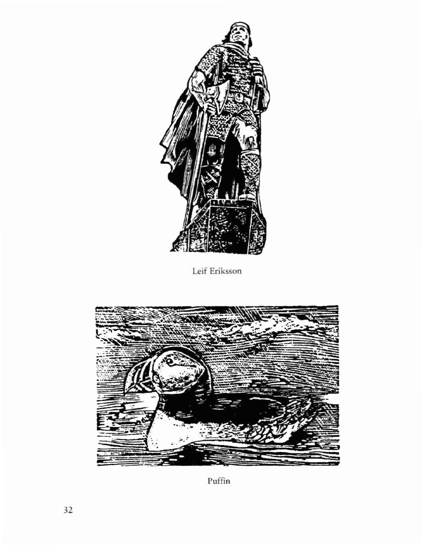

Leif Eriksson



 $\mathop{\rm Puffin}\nolimits$